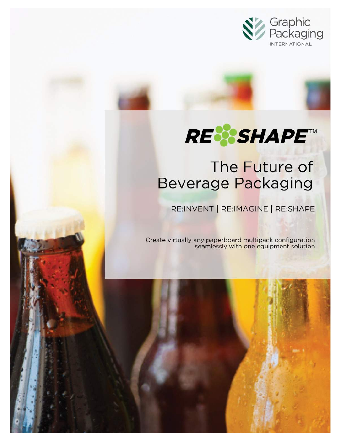

# **RE%SHAPE™**

## The Future of **Beverage Packaging**

RE:INVENT | RE:IMAGINE | RE:SHAPE

Create virtually any paperboard multipack configuration seamlessly with one equipment solution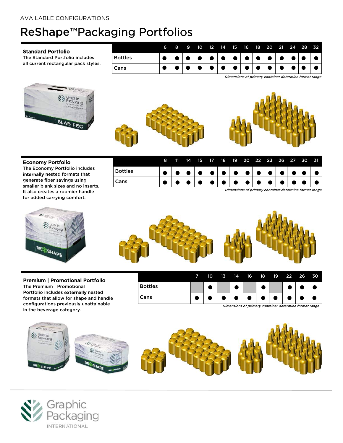## ReShape™Packaging Portfolios

#### Standard Portfolio

The Standard Portfolio includes all current rectangular pack styles.



|                | 6 | 8 | .9 | 10. |  |  | 12 14 15 16 18 20 21 24 28 32 |  |  |
|----------------|---|---|----|-----|--|--|-------------------------------|--|--|
| <b>Bottles</b> |   |   |    |     |  |  |                               |  |  |
| Cans           |   |   |    |     |  |  |                               |  |  |

Dimensions of primary container determine format range





## Economy Portfolio

The Economy Portfolio includes internally nested formats that generate fiber savings using smaller blank sizes and no inserts. It also creates a roomier handle for added carrying comfort.

| Cans           |    |    |      |  |  | <b>.</b>                         |  |  |  |
|----------------|----|----|------|--|--|----------------------------------|--|--|--|
| <b>Bottles</b> |    |    |      |  |  |                                  |  |  |  |
|                | 8. | 11 | - 14 |  |  | 15 17 18 19 20 22 23 26 27 30 31 |  |  |  |

Dimensions of primary container determine format range

.



## Premium | Promotional Portfolio

The Premium | Promotional Portfolio includes externally nested formats that allow for shape and handle configurations previously unattainable in the beverage category.



|                | 10 | 13 | 14 | 16 | 18 | - 19 | 22 26     | 30 |
|----------------|----|----|----|----|----|------|-----------|----|
| <b>Bottles</b> |    |    |    |    |    |      |           |    |
| Cans           |    |    |    |    |    |      | $\bullet$ |    |

Dimensions of primary container determine format range



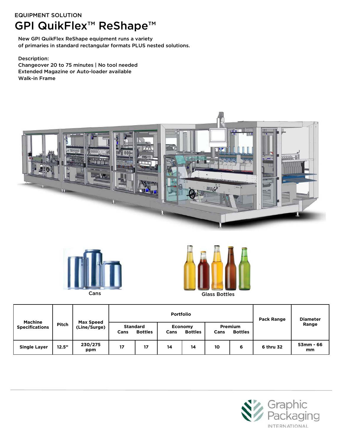## EQUIPMENT SOLUTION GPI QuikFlex™ ReShape™

New GPI QuikFlex ReShape equipment runs a variety of primaries in standard rectangular formats PLUS nested solutions.

Description: Changeover 20 to 75 minutes | No tool needed Extended Magazine or Auto-loader available Walk-in Frame







| <b>Machine</b>        |       | <b>Max Speed</b> |                         |                | <b>Portfolio</b> | Pack Range                       | <b>Diameter</b> |                                  |           |                 |
|-----------------------|-------|------------------|-------------------------|----------------|------------------|----------------------------------|-----------------|----------------------------------|-----------|-----------------|
| <b>Specifications</b> | Pitch | (Line/Surge)     | <b>Standard</b><br>Cans | <b>Bottles</b> | Cans             | <b>Economy</b><br><b>Bottles</b> | Cans            | <b>Premium</b><br><b>Bottles</b> |           | Range           |
| <b>Single Layer</b>   | 12.5" | 230/275<br>ppm   | 17                      | 17             | 14               | 14                               | 10              | 6                                | 6 thru 32 | 53mm - 66<br>mm |